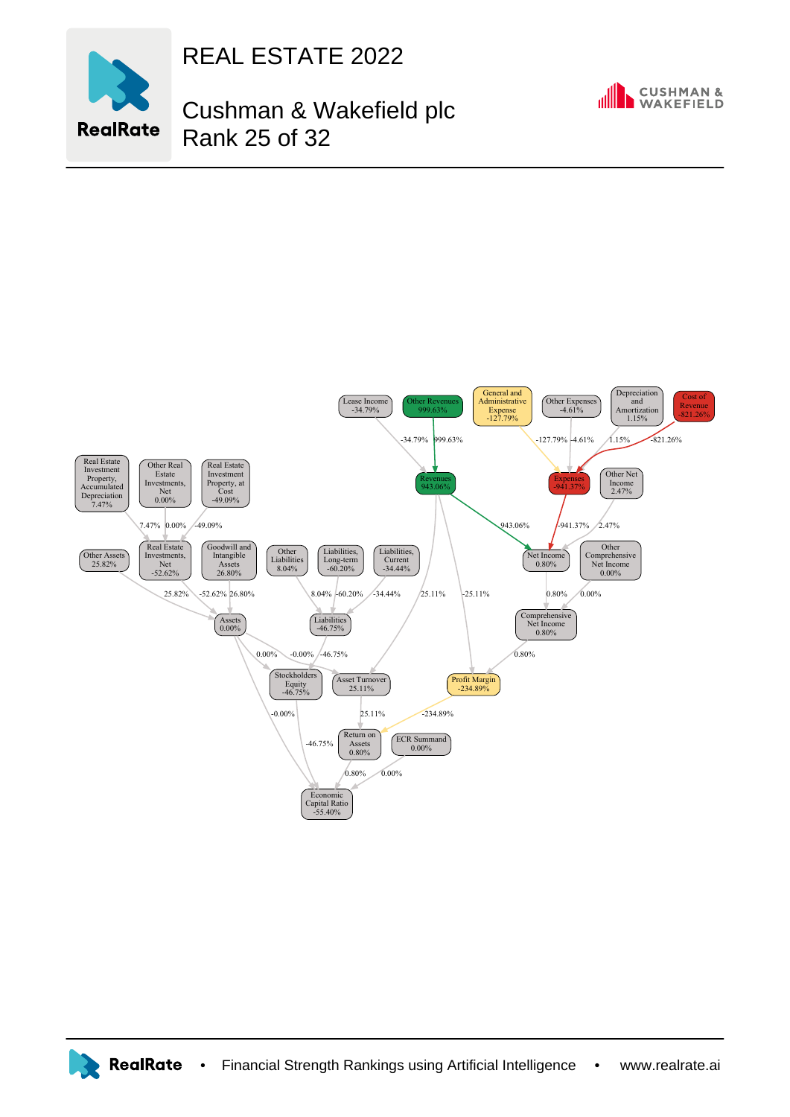

## REAL ESTATE 2022

## Cushman & Wakefield plc Rank 25 of 32